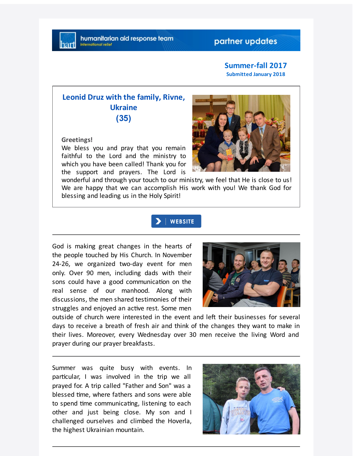## partner updates

#### **Summer-fall 2017 Submitted January 2018**

# **Leonid Druz with the family, Rivne, Ukraine (35)**

#### **Greetings!**

We bless you and pray that you remain faithful to the Lord and the ministry to which you have been called! Thank you for the support and prayers. The Lord is



wonderful and through your touch to our ministry, we feel that He is close to us! We are happy that we can accomplish His work with you! We thank God for blessing and leading us in the Holy Spirit!

### **WEBSITE**

God is making great changes in the hearts of the people touched by His Church. In November 24-26, we organized two-day event for men only. Over 90 men, including dads with their sons could have a good communication on the real sense of our manhood. Along with discussions, the men shared testimonies of their struggles and enjoyed an active rest. Some men



outside of church were interested in the event and left their businesses for several days to receive a breath of fresh air and think of the changes they want to make in their lives. Moreover, every Wednesday over 30 men receive the living Word and prayer during our prayer breakfasts.

Summer was quite busy with events. In particular, I was involved in the trip we all prayed for. A trip called "Father and Son" was a blessed time, where fathers and sons were able to spend time communicating, listening to each other and just being close. My son and I challenged ourselves and climbed the Hoverla, the highest Ukrainian mountain.

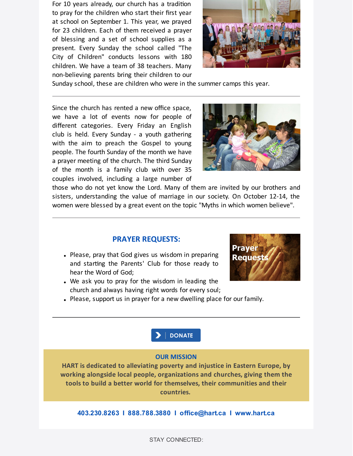For 10 years already, our church has a tradition to pray for the children who start their first year at school on September 1. This year, we prayed for 23 children. Each of them received a prayer of blessing and a set of school supplies as a present. Every Sunday the school called "The City of Children" conducts lessons with 180 children. We have a team of 38 teachers. Many non-believing parents bring their children to our



Sunday school, these are children who were in the summer camps this year.

Since the church has rented a new office space, we have a lot of events now for people of different categories. Every Friday an English club is held. Every Sunday - a youth gathering with the aim to preach the Gospel to young people. The fourth Sunday of the month we have a prayer meeting of the church. The third Sunday of the month is a family club with over 35 couples involved, including a large number of



those who do not yet know the Lord. Many of them are invited by our brothers and sisters, understanding the value of marriage in our society. On October 12-14, the women were blessed by a great event on the topic "Myths in which women believe".

#### **PRAYER REQUESTS:**

- Please, pray that God gives us wisdom in preparing and starting the Parents' Club for those ready to hear the Word of God;
- We ask you to pray for the wisdom in leading the church and always having right words for every soul;



Please, support us in prayer for a new dwelling place for our family.



#### **OUR MISSION**

**HART is dedicated to alleviating poverty and injustice in Eastern Europe, by working alongside local people, organizations and churches, giving them the tools to build a better world for themselves, their communities and their countries.**

**403.230.8263 I 888.788.3880 I office@hart.ca I www.hart.ca**

STAY CONNECTED: